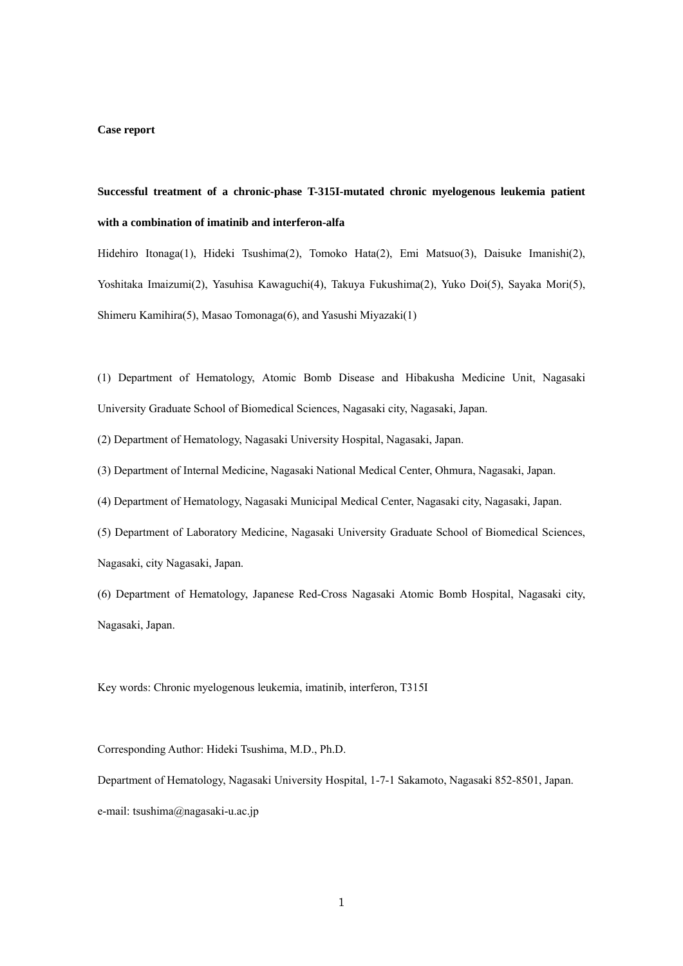#### **Case report**

# **Successful treatment of a chronic-phase T-315I-mutated chronic myelogenous leukemia patient with a combination of imatinib and interferon-alfa**

Hidehiro Itonaga(1), Hideki Tsushima(2), Tomoko Hata(2), Emi Matsuo(3), Daisuke Imanishi(2), Yoshitaka Imaizumi(2), Yasuhisa Kawaguchi(4), Takuya Fukushima(2), Yuko Doi(5), Sayaka Mori(5), Shimeru Kamihira(5), Masao Tomonaga(6), and Yasushi Miyazaki(1)

(1) Department of Hematology, Atomic Bomb Disease and Hibakusha Medicine Unit, Nagasaki University Graduate School of Biomedical Sciences, Nagasaki city, Nagasaki, Japan.

(2) Department of Hematology, Nagasaki University Hospital, Nagasaki, Japan.

(3) Department of Internal Medicine, Nagasaki National Medical Center, Ohmura, Nagasaki, Japan.

(4) Department of Hematology, Nagasaki Municipal Medical Center, Nagasaki city, Nagasaki, Japan.

(5) Department of Laboratory Medicine, Nagasaki University Graduate School of Biomedical Sciences, Nagasaki, city Nagasaki, Japan.

(6) Department of Hematology, Japanese Red-Cross Nagasaki Atomic Bomb Hospital, Nagasaki city, Nagasaki, Japan.

Key words: Chronic myelogenous leukemia, imatinib, interferon, T315I

Corresponding Author: Hideki Tsushima, M.D., Ph.D.

Department of Hematology, Nagasaki University Hospital, 1-7-1 Sakamoto, Nagasaki 852-8501, Japan. e-mail: tsushima@nagasaki-u.ac.jp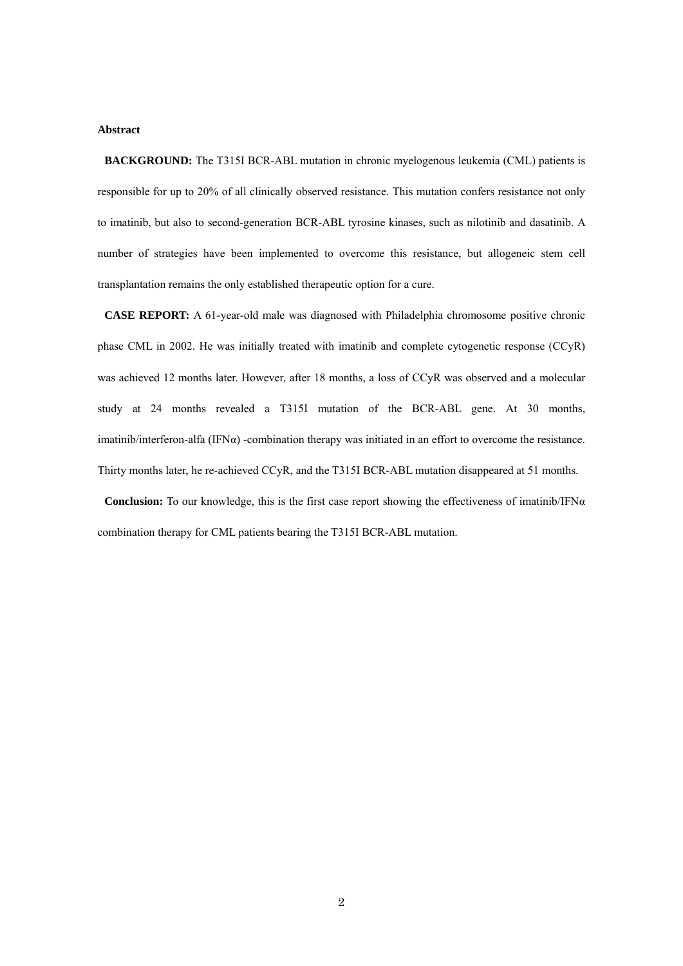# **Abstract**

**BACKGROUND:** The T315I BCR-ABL mutation in chronic myelogenous leukemia (CML) patients is responsible for up to 20% of all clinically observed resistance. This mutation confers resistance not only to imatinib, but also to second-generation BCR-ABL tyrosine kinases, such as nilotinib and dasatinib. A number of strategies have been implemented to overcome this resistance, but allogeneic stem cell transplantation remains the only established therapeutic option for a cure.

**CASE REPORT:** A 61-year-old male was diagnosed with Philadelphia chromosome positive chronic phase CML in 2002. He was initially treated with imatinib and complete cytogenetic response (CCyR) was achieved 12 months later. However, after 18 months, a loss of CCyR was observed and a molecular study at 24 months revealed a T315I mutation of the BCR-ABL gene. At 30 months, imatinib/interferon-alfa (IFN $\alpha$ ) -combination therapy was initiated in an effort to overcome the resistance. Thirty months later, he re-achieved CCyR, and the T315I BCR-ABL mutation disappeared at 51 months.

**Conclusion:** To our knowledge, this is the first case report showing the effectiveness of imatinib/IFN $\alpha$ combination therapy for CML patients bearing the T315I BCR-ABL mutation.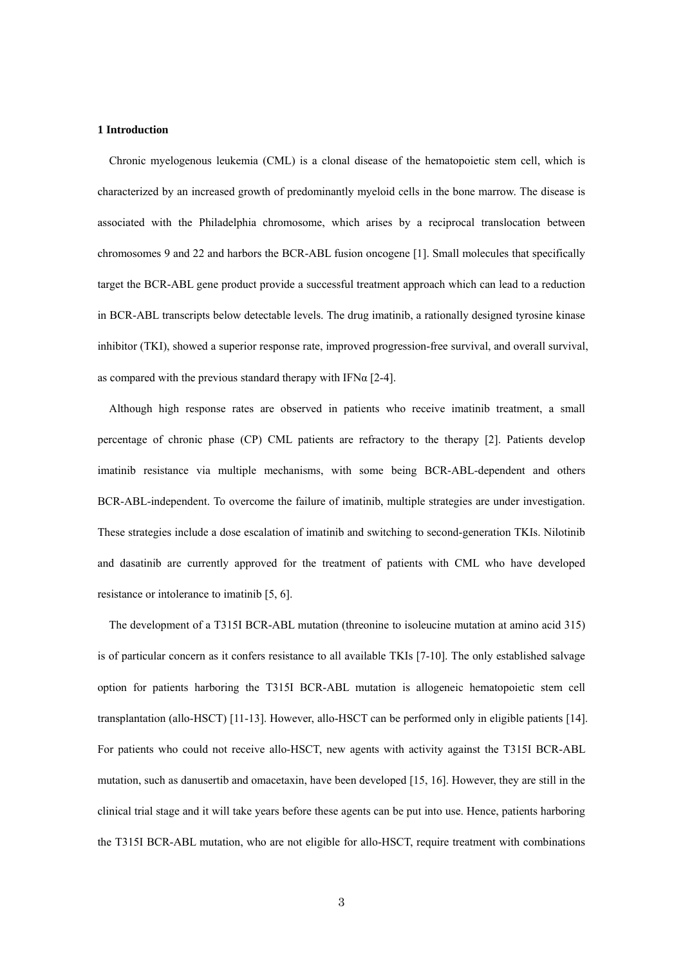#### **1 Introduction**

 Chronic myelogenous leukemia (CML) is a clonal disease of the hematopoietic stem cell, which is characterized by an increased growth of predominantly myeloid cells in the bone marrow. The disease is associated with the Philadelphia chromosome, which arises by a reciprocal translocation between chromosomes 9 and 22 and harbors the BCR-ABL fusion oncogene [1]. Small molecules that specifically target the BCR-ABL gene product provide a successful treatment approach which can lead to a reduction in BCR-ABL transcripts below detectable levels. The drug imatinib, a rationally designed tyrosine kinase inhibitor (TKI), showed a superior response rate, improved progression-free survival, and overall survival, as compared with the previous standard therapy with IFN $\alpha$  [2-4].

 Although high response rates are observed in patients who receive imatinib treatment, a small percentage of chronic phase (CP) CML patients are refractory to the therapy [2]. Patients develop imatinib resistance via multiple mechanisms, with some being BCR-ABL-dependent and others BCR-ABL-independent. To overcome the failure of imatinib, multiple strategies are under investigation. These strategies include a dose escalation of imatinib and switching to second-generation TKIs. Nilotinib and dasatinib are currently approved for the treatment of patients with CML who have developed resistance or intolerance to imatinib [5, 6].

 The development of a T315I BCR-ABL mutation (threonine to isoleucine mutation at amino acid 315) is of particular concern as it confers resistance to all available TKIs [7-10]. The only established salvage option for patients harboring the T315I BCR-ABL mutation is allogeneic hematopoietic stem cell transplantation (allo-HSCT) [11-13]. However, allo-HSCT can be performed only in eligible patients [14]. For patients who could not receive allo-HSCT, new agents with activity against the T315I BCR-ABL mutation, such as danusertib and omacetaxin, have been developed [15, 16]. However, they are still in the clinical trial stage and it will take years before these agents can be put into use. Hence, patients harboring the T315I BCR-ABL mutation, who are not eligible for allo-HSCT, require treatment with combinations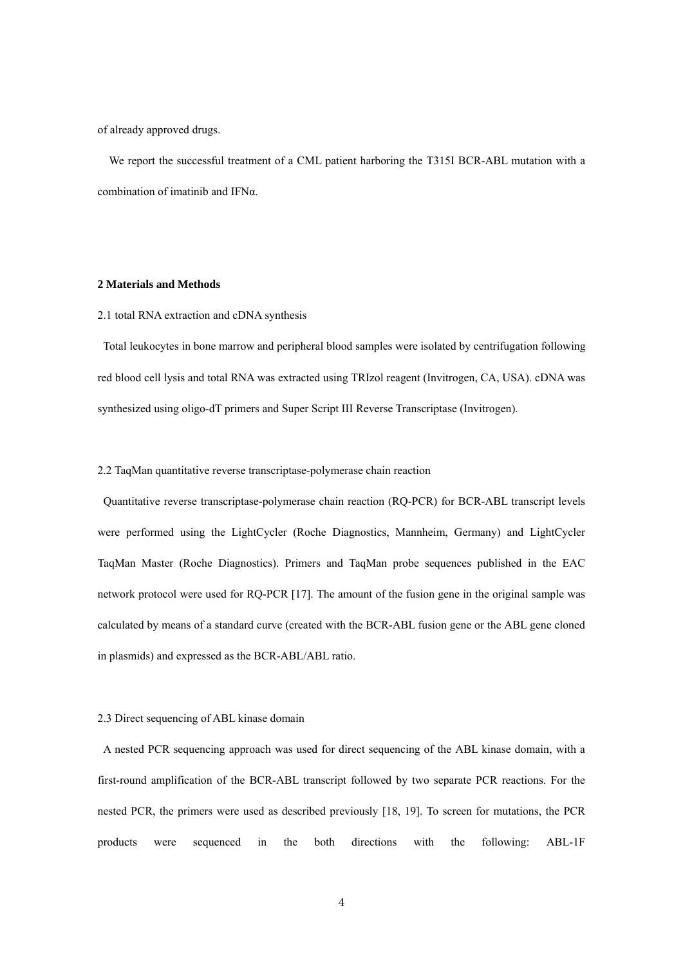of already approved drugs.

 We report the successful treatment of a CML patient harboring the T315I BCR-ABL mutation with a combination of imatinib and IFNα.

# **2 Materials and Methods**

## 2.1 total RNA extraction and cDNA synthesis

Total leukocytes in bone marrow and peripheral blood samples were isolated by centrifugation following red blood cell lysis and total RNA was extracted using TRIzol reagent (Invitrogen, CA, USA). cDNA was synthesized using oligo-dT primers and Super Script III Reverse Transcriptase (Invitrogen).

# 2.2 TaqMan quantitative reverse transcriptase-polymerase chain reaction

 Quantitative reverse transcriptase-polymerase chain reaction (RQ-PCR) for BCR-ABL transcript levels were performed using the LightCycler (Roche Diagnostics, Mannheim, Germany) and LightCycler TaqMan Master (Roche Diagnostics). Primers and TaqMan probe sequences published in the EAC network protocol were used for RQ-PCR [17]. The amount of the fusion gene in the original sample was calculated by means of a standard curve (created with the BCR-ABL fusion gene or the ABL gene cloned in plasmids) and expressed as the BCR-ABL/ABL ratio.

## 2.3 Direct sequencing of ABL kinase domain

A nested PCR sequencing approach was used for direct sequencing of the ABL kinase domain, with a first-round amplification of the BCR-ABL transcript followed by two separate PCR reactions. For the nested PCR, the primers were used as described previously [18, 19]. To screen for mutations, the PCR products were sequenced in the both directions with the following: ABL-1F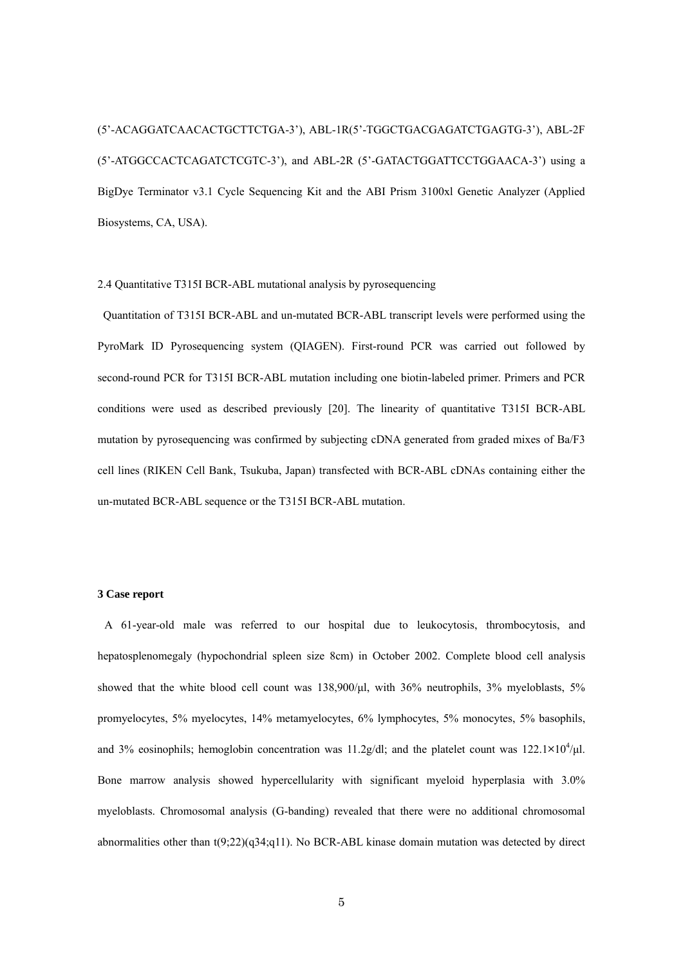(5'-ACAGGATCAACACTGCTTCTGA-3'), ABL-1R(5'-TGGCTGACGAGATCTGAGTG-3'), ABL-2F (5'-ATGGCCACTCAGATCTCGTC-3'), and ABL-2R (5'-GATACTGGATTCCTGGAACA-3') using a BigDye Terminator v3.1 Cycle Sequencing Kit and the ABI Prism 3100xl Genetic Analyzer (Applied Biosystems, CA, USA).

## 2.4 Quantitative T315I BCR-ABL mutational analysis by pyrosequencing

Quantitation of T315I BCR-ABL and un-mutated BCR-ABL transcript levels were performed using the PyroMark ID Pyrosequencing system (QIAGEN). First-round PCR was carried out followed by second-round PCR for T315I BCR-ABL mutation including one biotin-labeled primer. Primers and PCR conditions were used as described previously [20]. The linearity of quantitative T315I BCR-ABL mutation by pyrosequencing was confirmed by subjecting cDNA generated from graded mixes of Ba/F3 cell lines (RIKEN Cell Bank, Tsukuba, Japan) transfected with BCR-ABL cDNAs containing either the un-mutated BCR-ABL sequence or the T315I BCR-ABL mutation.

# **3 Case report**

A 61-year-old male was referred to our hospital due to leukocytosis, thrombocytosis, and hepatosplenomegaly (hypochondrial spleen size 8cm) in October 2002. Complete blood cell analysis showed that the white blood cell count was 138,900/μl, with 36% neutrophils, 3% myeloblasts, 5% promyelocytes, 5% myelocytes, 14% metamyelocytes, 6% lymphocytes, 5% monocytes, 5% basophils, and 3% eosinophils; hemoglobin concentration was 11.2g/dl; and the platelet count was  $122.1 \times 10^4/\mu$ l. Bone marrow analysis showed hypercellularity with significant myeloid hyperplasia with 3.0% myeloblasts. Chromosomal analysis (G-banding) revealed that there were no additional chromosomal abnormalities other than  $t(9;22)(q34;q11)$ . No BCR-ABL kinase domain mutation was detected by direct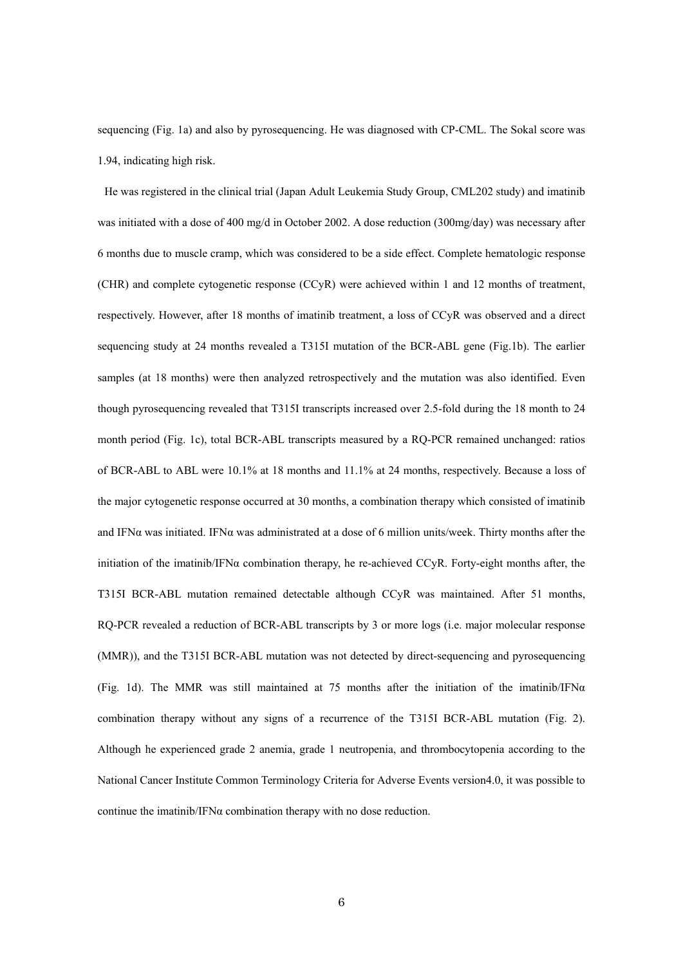sequencing (Fig. 1a) and also by pyrosequencing. He was diagnosed with CP-CML. The Sokal score was 1.94, indicating high risk.

He was registered in the clinical trial (Japan Adult Leukemia Study Group, CML202 study) and imatinib was initiated with a dose of 400 mg/d in October 2002. A dose reduction (300mg/day) was necessary after 6 months due to muscle cramp, which was considered to be a side effect. Complete hematologic response (CHR) and complete cytogenetic response (CCyR) were achieved within 1 and 12 months of treatment, respectively. However, after 18 months of imatinib treatment, a loss of CCyR was observed and a direct sequencing study at 24 months revealed a T315I mutation of the BCR-ABL gene (Fig.1b). The earlier samples (at 18 months) were then analyzed retrospectively and the mutation was also identified. Even though pyrosequencing revealed that T315I transcripts increased over 2.5-fold during the 18 month to 24 month period (Fig. 1c), total BCR-ABL transcripts measured by a RQ-PCR remained unchanged: ratios of BCR-ABL to ABL were 10.1% at 18 months and 11.1% at 24 months, respectively. Because a loss of the major cytogenetic response occurred at 30 months, a combination therapy which consisted of imatinib and IFN $\alpha$  was initiated. IFN $\alpha$  was administrated at a dose of 6 million units/week. Thirty months after the initiation of the imatinib/IFNα combination therapy, he re-achieved CCyR. Forty-eight months after, the T315I BCR-ABL mutation remained detectable although CCyR was maintained. After 51 months, RQ-PCR revealed a reduction of BCR-ABL transcripts by 3 or more logs (i.e. major molecular response (MMR)), and the T315I BCR-ABL mutation was not detected by direct-sequencing and pyrosequencing (Fig. 1d). The MMR was still maintained at 75 months after the initiation of the imatinib/IFN $\alpha$ combination therapy without any signs of a recurrence of the T315I BCR-ABL mutation (Fig. 2). Although he experienced grade 2 anemia, grade 1 neutropenia, and thrombocytopenia according to the National Cancer Institute Common Terminology Criteria for Adverse Events version4.0, it was possible to continue the imatinib/IFN $\alpha$  combination therapy with no dose reduction.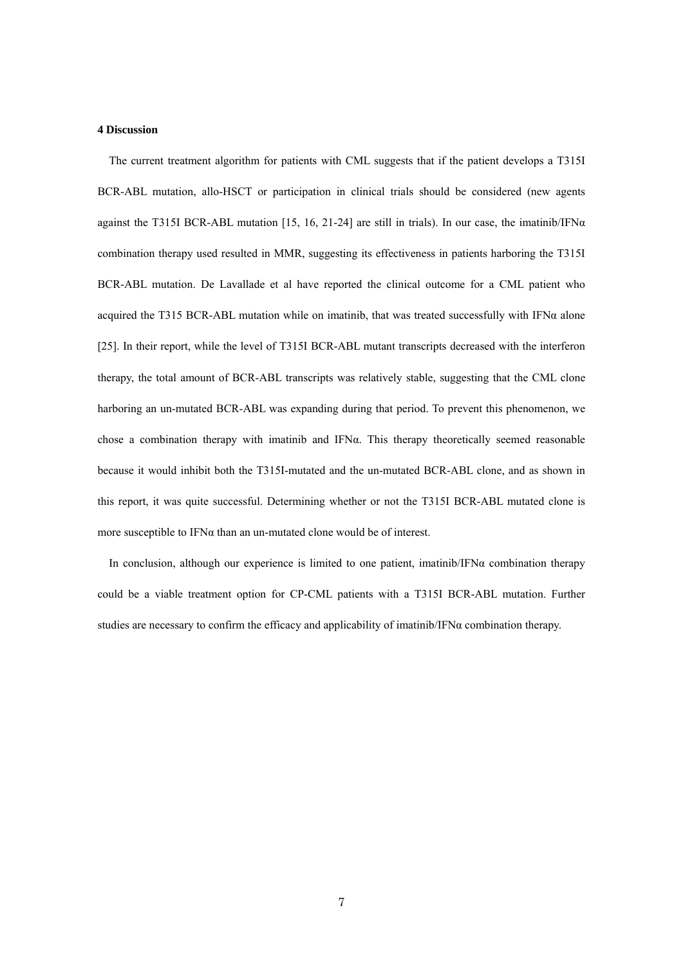## **4 Discussion**

 The current treatment algorithm for patients with CML suggests that if the patient develops a T315I BCR-ABL mutation, allo-HSCT or participation in clinical trials should be considered (new agents against the T315I BCR-ABL mutation [15, 16, 21-24] are still in trials). In our case, the imatinib/IFN $\alpha$ combination therapy used resulted in MMR, suggesting its effectiveness in patients harboring the T315I BCR-ABL mutation. De Lavallade et al have reported the clinical outcome for a CML patient who acquired the T315 BCR-ABL mutation while on imatinib, that was treated successfully with IFN $\alpha$  alone [25]. In their report, while the level of T315I BCR-ABL mutant transcripts decreased with the interferon therapy, the total amount of BCR-ABL transcripts was relatively stable, suggesting that the CML clone harboring an un-mutated BCR-ABL was expanding during that period. To prevent this phenomenon, we chose a combination therapy with imatinib and IFN $\alpha$ . This therapy theoretically seemed reasonable because it would inhibit both the T315I-mutated and the un-mutated BCR-ABL clone, and as shown in this report, it was quite successful. Determining whether or not the T315I BCR-ABL mutated clone is more susceptible to  $IFN\alpha$  than an un-mutated clone would be of interest.

In conclusion, although our experience is limited to one patient, imatinib/IFN $\alpha$  combination therapy could be a viable treatment option for CP-CML patients with a T315I BCR-ABL mutation. Further studies are necessary to confirm the efficacy and applicability of imatinib/IFN $\alpha$  combination therapy.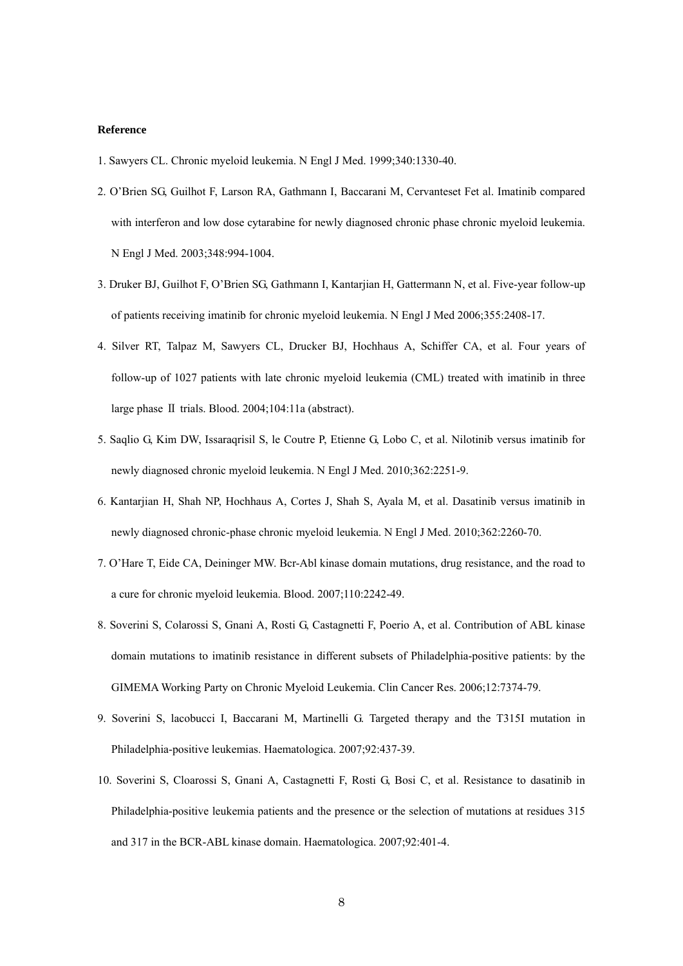## **Reference**

- 1. Sawyers CL. Chronic myeloid leukemia. N Engl J Med. 1999;340:1330-40.
- 2. O'Brien SG, Guilhot F, Larson RA, Gathmann I, Baccarani M, Cervanteset Fet al. Imatinib compared with interferon and low dose cytarabine for newly diagnosed chronic phase chronic myeloid leukemia. N Engl J Med. 2003;348:994-1004.
- 3. Druker BJ, Guilhot F, O'Brien SG, Gathmann I, Kantarjian H, Gattermann N, et al. Five-year follow-up of patients receiving imatinib for chronic myeloid leukemia. N Engl J Med 2006;355:2408-17.
- 4. Silver RT, Talpaz M, Sawyers CL, Drucker BJ, Hochhaus A, Schiffer CA, et al. Four years of follow-up of 1027 patients with late chronic myeloid leukemia (CML) treated with imatinib in three large phase Ⅱ trials. Blood. 2004;104:11a (abstract).
- 5. Saqlio G, Kim DW, Issaraqrisil S, le Coutre P, Etienne G, Lobo C, et al. Nilotinib versus imatinib for newly diagnosed chronic myeloid leukemia. N Engl J Med. 2010;362:2251-9.
- 6. Kantarjian H, Shah NP, Hochhaus A, Cortes J, Shah S, Ayala M, et al. Dasatinib versus imatinib in newly diagnosed chronic-phase chronic myeloid leukemia. N Engl J Med. 2010;362:2260-70.
- 7. O'Hare T, Eide CA, Deininger MW. Bcr-Abl kinase domain mutations, drug resistance, and the road to a cure for chronic myeloid leukemia. Blood. 2007;110:2242-49.
- 8. Soverini S, Colarossi S, Gnani A, Rosti G, Castagnetti F, Poerio A, et al. Contribution of ABL kinase domain mutations to imatinib resistance in different subsets of Philadelphia-positive patients: by the GIMEMA Working Party on Chronic Myeloid Leukemia. Clin Cancer Res. 2006;12:7374-79.
- 9. Soverini S, lacobucci I, Baccarani M, Martinelli G. Targeted therapy and the T315I mutation in Philadelphia-positive leukemias. Haematologica. 2007;92:437-39.
- 10. Soverini S, Cloarossi S, Gnani A, Castagnetti F, Rosti G, Bosi C, et al. Resistance to dasatinib in Philadelphia-positive leukemia patients and the presence or the selection of mutations at residues 315 and 317 in the BCR-ABL kinase domain. Haematologica. 2007;92:401-4.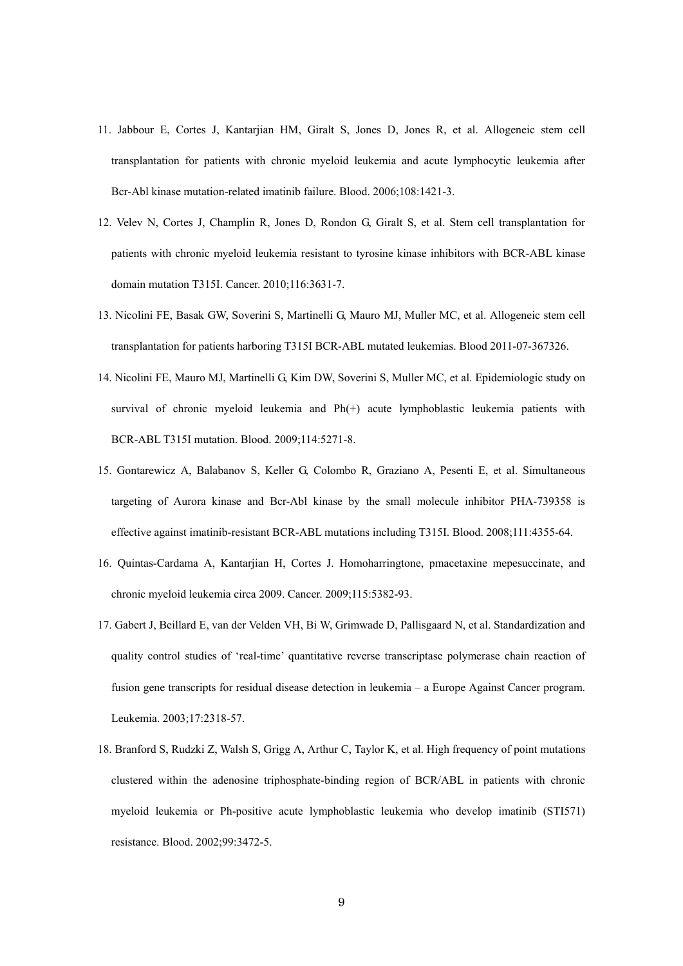- 11. Jabbour E, Cortes J, Kantarjian HM, Giralt S, Jones D, Jones R, et al. Allogeneic stem cell transplantation for patients with chronic myeloid leukemia and acute lymphocytic leukemia after Bcr-Abl kinase mutation-related imatinib failure. Blood. 2006;108:1421-3.
- 12. Velev N, Cortes J, Champlin R, Jones D, Rondon G, Giralt S, et al. Stem cell transplantation for patients with chronic myeloid leukemia resistant to tyrosine kinase inhibitors with BCR-ABL kinase domain mutation T315I. Cancer. 2010;116:3631-7.
- 13. Nicolini FE, Basak GW, Soverini S, Martinelli G, Mauro MJ, Muller MC, et al. Allogeneic stem cell transplantation for patients harboring T315I BCR-ABL mutated leukemias. Blood 2011-07-367326.
- 14. Nicolini FE, Mauro MJ, Martinelli G, Kim DW, Soverini S, Muller MC, et al. Epidemiologic study on survival of chronic myeloid leukemia and Ph(+) acute lymphoblastic leukemia patients with BCR-ABL T315I mutation. Blood. 2009;114:5271-8.
- 15. Gontarewicz A, Balabanov S, Keller G, Colombo R, Graziano A, Pesenti E, et al. Simultaneous targeting of Aurora kinase and Bcr-Abl kinase by the small molecule inhibitor PHA-739358 is effective against imatinib-resistant BCR-ABL mutations including T315I. Blood. 2008;111:4355-64.
- 16. Quintas-Cardama A, Kantarjian H, Cortes J. Homoharringtone, pmacetaxine mepesuccinate, and chronic myeloid leukemia circa 2009. Cancer. 2009;115:5382-93.
- 17. Gabert J, Beillard E, van der Velden VH, Bi W, Grimwade D, Pallisgaard N, et al. Standardization and quality control studies of 'real-time' quantitative reverse transcriptase polymerase chain reaction of fusion gene transcripts for residual disease detection in leukemia – a Europe Against Cancer program. Leukemia. 2003;17:2318-57.
- 18. Branford S, Rudzki Z, Walsh S, Grigg A, Arthur C, Taylor K, et al. High frequency of point mutations clustered within the adenosine triphosphate-binding region of BCR/ABL in patients with chronic myeloid leukemia or Ph-positive acute lymphoblastic leukemia who develop imatinib (STI571) resistance. Blood. 2002;99:3472-5.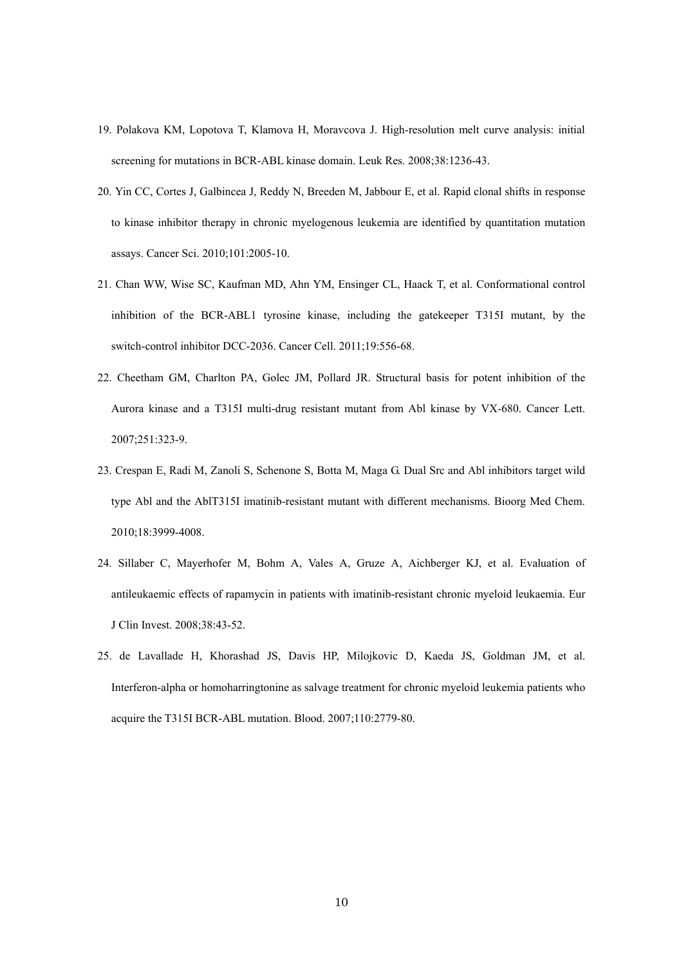- 19. Polakova KM, Lopotova T, Klamova H, Moravcova J. High-resolution melt curve analysis: initial screening for mutations in BCR-ABL kinase domain. Leuk Res. 2008;38:1236-43.
- 20. Yin CC, Cortes J, Galbincea J, Reddy N, Breeden M, Jabbour E, et al. Rapid clonal shifts in response to kinase inhibitor therapy in chronic myelogenous leukemia are identified by quantitation mutation assays. Cancer Sci. 2010;101:2005-10.
- 21. Chan WW, Wise SC, Kaufman MD, Ahn YM, Ensinger CL, Haack T, et al. Conformational control inhibition of the BCR-ABL1 tyrosine kinase, including the gatekeeper T315I mutant, by the switch-control inhibitor DCC-2036. Cancer Cell. 2011;19:556-68.
- 22. Cheetham GM, Charlton PA, Golec JM, Pollard JR. Structural basis for potent inhibition of the Aurora kinase and a T315I multi-drug resistant mutant from Abl kinase by VX-680. Cancer Lett. 2007;251:323-9.
- 23. Crespan E, Radi M, Zanoli S, Schenone S, Botta M, Maga G. Dual Src and Abl inhibitors target wild type Abl and the AblT315I imatinib-resistant mutant with different mechanisms. Bioorg Med Chem. 2010;18:3999-4008.
- 24. Sillaber C, Mayerhofer M, Bohm A, Vales A, Gruze A, Aichberger KJ, et al. Evaluation of antileukaemic effects of rapamycin in patients with imatinib-resistant chronic myeloid leukaemia. Eur J Clin Invest. 2008;38:43-52.
- 25. de Lavallade H, Khorashad JS, Davis HP, Milojkovic D, Kaeda JS, Goldman JM, et al. Interferon-alpha or homoharringtonine as salvage treatment for chronic myeloid leukemia patients who acquire the T315I BCR-ABL mutation. Blood. 2007;110:2779-80.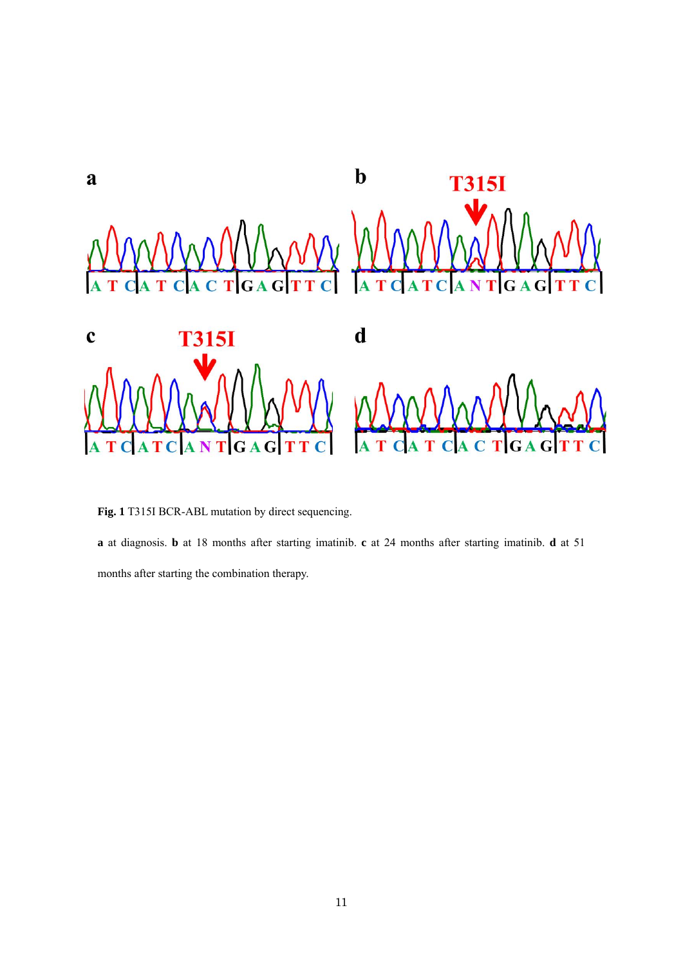

**Fig. 1** T315I BCR-ABL mutation by direct sequencing.

**a** at diagnosis. **b** at 18 months after starting imatinib. **c** at 24 months after starting imatinib. **d** at 51

months after starting the combination therapy.